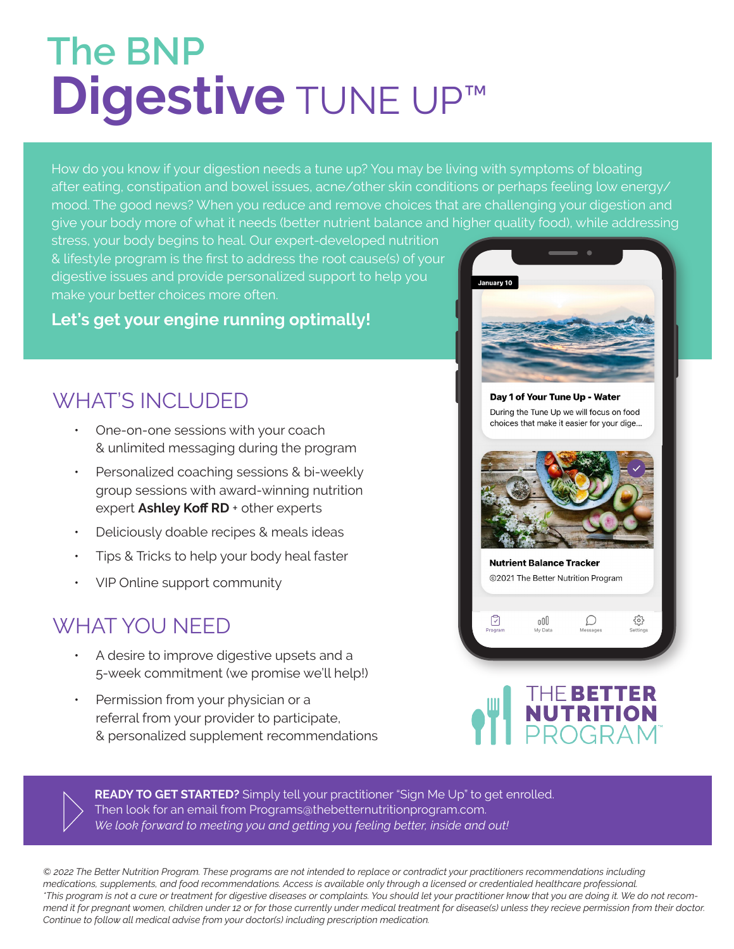# **Digestive** TUNE UP™ **The BNP**

How do you know if your digestion needs a tune up? You may be living with symptoms of bloating after eating, constipation and bowel issues, acne/other skin conditions or perhaps feeling low energy/ mood. The good news? When you reduce and remove choices that are challenging your digestion and give your body more of what it needs (better nutrient balance and higher quality food), while addressing

stress, your body begins to heal. Our expert-developed nutrition & lifestyle program is the first to address the root cause(s) of your digestive issues and provide personalized support to help you make your better choices more often.

#### **Let's get your engine running optimally!**

### WHAT'S INCLUDED

- One-on-one sessions with your coach & unlimited messaging during the program
- ƽ Personalized coaching sessions & bi-weekly group sessions with award-winning nutrition expert Ashley Koff RD + other experts
- ƽ Deliciously doable recipes & meals ideas
- Tips & Tricks to help your body heal faster
- VIP Online support community

## WHAT YOU NEED

- ƽ A desire to improve digestive upsets and a 5-week commitment (we promise we'll help!)
- Permission from your physician or a referral from your provider to participate, & personalized supplement recommendations





READY TO GET STARTED? Simply tell your practitioner "Sign Me Up" to get enrolled. Then look for an email from Programs@thebetternutritionprogram.com. *We look forward to meeting you and getting you feeling better, inside and out!*

*© 2022 The Better Nutrition Program. These programs are not intended to replace or contradict your practitioners recommendations including medications, supplements, and food recommendations. Access is available only through a licensed or credentialed healthcare professional. \*This program is not a cure or treatment for digestive diseases or complaints. You should let your practitioner know that you are doing it. We do not recommend it for pregnant women, children under 12 or for those currently under medical treatment for disease(s) unless they recieve permission from their doctor. Continue to follow all medical advise from your doctor(s) including prescription medication.*